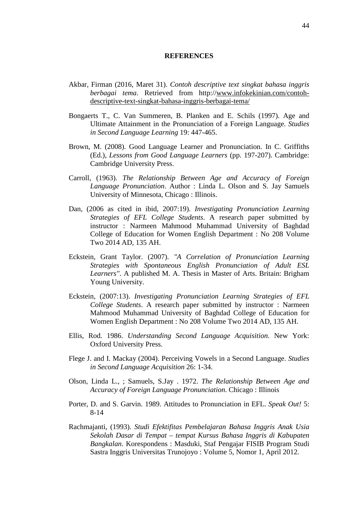## **REFERENCES**

- Akbar, Firman (2016, Maret 31). *Contoh descriptive text singkat bahasa inggris berbagai tema*. Retrieved from http:/[/www.infokekinian.com/contoh](http://www.infokekinian.com/contoh-descriptive-text-singkat-bahasa-inggris-berbagai-tema/)[descriptive-text-singkat-bahasa-inggris-berbagai-tema/](http://www.infokekinian.com/contoh-descriptive-text-singkat-bahasa-inggris-berbagai-tema/)
- Bongaerts T., C. Van Summeren, B. Planken and E. Schils (1997). Age and Ultimate Attainment in the Pronunciation of a Foreign Language. *Studies in Second Language Learning* 19: 447-465.
- Brown, M. (2008). Good Language Learner and Pronunciation. In C. Griffiths (Ed.), *Lessons from Good Language Learners* (pp. 197-207). Cambridge: Cambridge University Press.
- Carroll, (1963). *The Relationship Between Age and Accuracy of Foreign Language Pronunciation*. Author : Linda L. Olson and S. Jay Samuels University of Minnesota, Chicago : Illinois.
- Dan, (2006 as cited in ibid, 2007:19). *Investigating Pronunciation Learning Strategies of EFL College Students*. A research paper submitted by instructor : Narmeen Mahmood Muhammad University of Baghdad College of Education for Women English Department : No 208 Volume Two 2014 AD, 135 AH.
- Eckstein, Grant Taylor. (2007). *"A Correlation of Pronunciation Learning Strategies with Spontaneous English Pronunciation of Adult ESL Learners"*. A published M. A. Thesis in Master of Arts. Britain: Brigham Young University.
- Eckstein, (2007:13). *Investigating Pronunciation Learning Strategies of EFL College Students*. A research paper submitted by instructor : Narmeen Mahmood Muhammad University of Baghdad College of Education for Women English Department : No 208 Volume Two 2014 AD, 135 AH.
- Ellis, Rod. 1986. *Understanding Second Language Acquisition*. New York: Oxford University Press.
- Flege J. and I. Mackay (2004). Perceiving Vowels in a Second Language. *Studies in Second Language Acquisition* 26: 1-34.
- Olson, Linda L., ; Samuels, S.Jay . 1972. *The Relationship Between Age and Accuracy of Foreign Language Pronunciation*. Chicago : Illinois
- Porter, D. and S. Garvin. 1989. Attitudes to Pronunciation in EFL. *Speak Out!* 5: 8-14
- Rachmajanti, (1993). *Studi Efektifitas Pembelajaran Bahasa Inggris Anak Usia Sekolah Dasar di Tempat – tempat Kursus Bahasa Inggris di Kabupaten Bangkalan*. Korespondens : Masduki, Staf Pengajar FISIB Program Studi Sastra Inggris Universitas Trunojoyo : Volume 5, Nomor 1, April 2012.